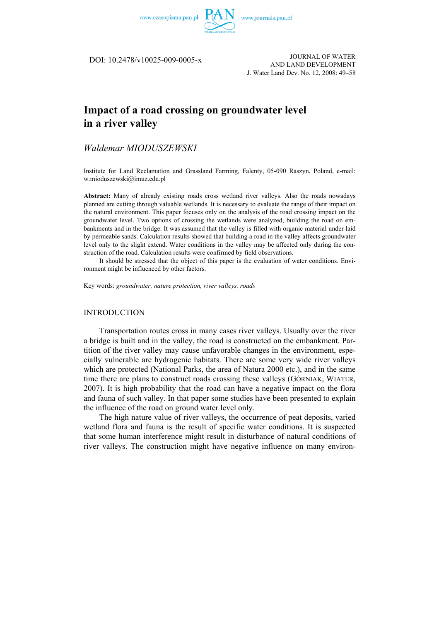

DOI: 10.2478/v10025-009-0005-x

JOURNAL OF WATER AND LAND DEVELOPMENT J. Water Land Dev. No. 12, 2008: 49–58

# **Impact of a road crossing on groundwater level in a river valley**

# *Waldemar MIODUSZEWSKI*

Institute for Land Reclamation and Grassland Farming, Falenty, 05-090 Raszyn, Poland, e-mail: w.mioduszewski@imuz.edu.pl

**Abstract:** Many of already existing roads cross wetland river valleys. Also the roads nowadays planned are cutting through valuable wetlands. It is necessary to evaluate the range of their impact on the natural environment. This paper focuses only on the analysis of the road crossing impact on the groundwater level. Two options of crossing the wetlands were analyzed, building the road on embankments and in the bridge. It was assumed that the valley is filled with organic material under laid by permeable sands. Calculation results showed that building a road in the valley affects groundwater level only to the slight extend. Water conditions in the valley may be affected only during the construction of the road. Calculation results were confirmed by field observations.

It should be stressed that the object of this paper is the evaluation of water conditions. Environment might be influenced by other factors.

Key words: *groundwater, nature protection, river valleys, roads* 

#### INTRODUCTION

Transportation routes cross in many cases river valleys. Usually over the river a bridge is built and in the valley, the road is constructed on the embankment. Partition of the river valley may cause unfavorable changes in the environment, especially vulnerable are hydrogenic habitats. There are some very wide river valleys which are protected (National Parks, the area of Natura 2000 etc.), and in the same time there are plans to construct roads crossing these valleys (GÓRNIAK, WIATER, 2007). It is high probability that the road can have a negative impact on the flora and fauna of such valley. In that paper some studies have been presented to explain the influence of the road on ground water level only.

The high nature value of river valleys, the occurrence of peat deposits, varied wetland flora and fauna is the result of specific water conditions. It is suspected that some human interference might result in disturbance of natural conditions of river valleys. The construction might have negative influence on many environ-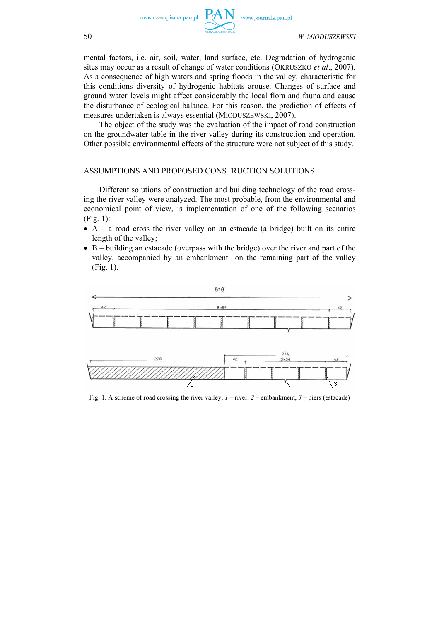

mental factors, i.e. air, soil, water, land surface, etc. Degradation of hydrogenic sites may occur as a result of change of water conditions (OKRUSZKO *et al*., 2007). As a consequence of high waters and spring floods in the valley, characteristic for this conditions diversity of hydrogenic habitats arouse. Changes of surface and ground water levels might affect considerably the local flora and fauna and cause the disturbance of ecological balance. For this reason, the prediction of effects of measures undertaken is always essential (MIODUSZEWSKI, 2007).

The object of the study was the evaluation of the impact of road construction on the groundwater table in the river valley during its construction and operation. Other possible environmental effects of the structure were not subject of this study.

### ASSUMPTIONS AND PROPOSED CONSTRUCTION SOLUTIONS

Different solutions of construction and building technology of the road crossing the river valley were analyzed. The most probable, from the environmental and economical point of view, is implementation of one of the following scenarios (Fig. 1):

- A a road cross the river valley on an estacade (a bridge) built on its entire length of the valley;
- B building an estacade (overpass with the bridge) over the river and part of the valley, accompanied by an embankment on the remaining part of the valley (Fig. 1).



Fig. 1. A scheme of road crossing the river valley; *1* – river, *2* – embankment, *3* – piers (estacade)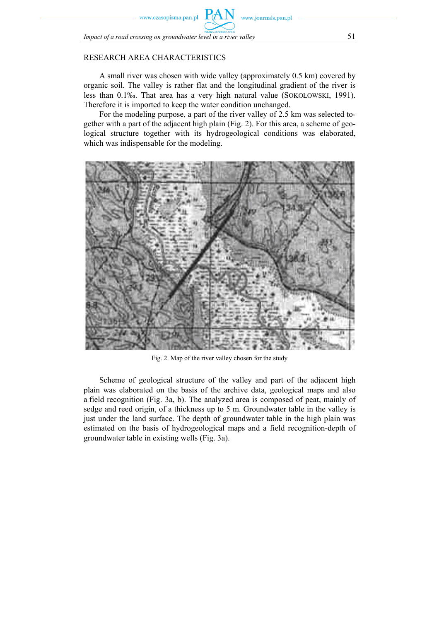www.czasopisma.pan.pl

# RESEARCH AREA CHARACTERISTICS

A small river was chosen with wide valley (approximately 0.5 km) covered by organic soil. The valley is rather flat and the longitudinal gradient of the river is less than 0.1‰. That area has a very high natural value (SOKOŁOWSKI, 1991). Therefore it is imported to keep the water condition unchanged.

www.journals.pan.pl

For the modeling purpose, a part of the river valley of 2.5 km was selected together with a part of the adjacent high plain (Fig. 2). For this area, a scheme of geological structure together with its hydrogeological conditions was elaborated, which was indispensable for the modeling.



Fig. 2. Map of the river valley chosen for the study

Scheme of geological structure of the valley and part of the adjacent high plain was elaborated on the basis of the archive data, geological maps and also a field recognition (Fig. 3a, b). The analyzed area is composed of peat, mainly of sedge and reed origin, of a thickness up to 5 m. Groundwater table in the valley is just under the land surface. The depth of groundwater table in the high plain was estimated on the basis of hydrogeological maps and a field recognition-depth of groundwater table in existing wells (Fig. 3a).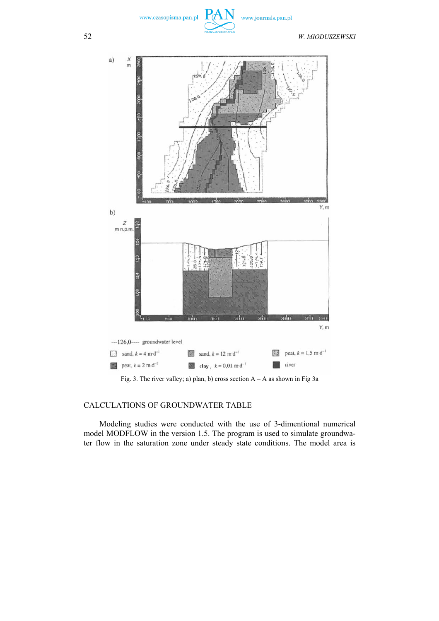www.czasopisma.pan.pl

www.journals.pan.pl



Fig. 3. The river valley; a) plan, b) cross section  $A - A$  as shown in Fig 3a

# CALCULATIONS OF GROUNDWATER TABLE

Modeling studies were conducted with the use of 3-dimentional numerical model MODFLOW in the version 1.5. The program is used to simulate groundwater flow in the saturation zone under steady state conditions. The model area is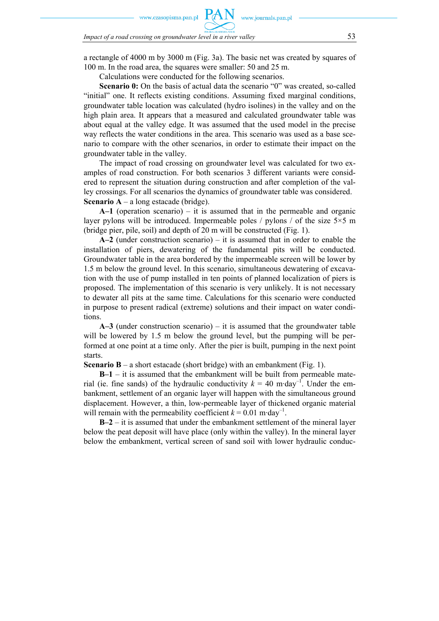zasopisma.pan.pl

*Impact of a road crossing on groundwater level in a river valley* 53

a rectangle of 4000 m by 3000 m (Fig. 3a). The basic net was created by squares of 100 m. In the road area, the squares were smaller: 50 and 25 m.

Calculations were conducted for the following scenarios.

**Scenario 0:** On the basis of actual data the scenario "0" was created, so-called "initial" one. It reflects existing conditions. Assuming fixed marginal conditions, groundwater table location was calculated (hydro isolines) in the valley and on the high plain area. It appears that a measured and calculated groundwater table was about equal at the valley edge. It was assumed that the used model in the precise way reflects the water conditions in the area. This scenario was used as a base scenario to compare with the other scenarios, in order to estimate their impact on the groundwater table in the valley.

The impact of road crossing on groundwater level was calculated for two examples of road construction. For both scenarios 3 different variants were considered to represent the situation during construction and after completion of the valley crossings. For all scenarios the dynamics of groundwater table was considered. **Scenario A** – a long estacade (bridge).

**A–1** (operation scenario) – it is assumed that in the permeable and organic layer pylons will be introduced. Impermeable poles / pylons / of the size  $5\times 5$  m (bridge pier, pile, soil) and depth of 20 m will be constructed (Fig. 1).

**A–2** (under construction scenario) – it is assumed that in order to enable the installation of piers, dewatering of the fundamental pits will be conducted. Groundwater table in the area bordered by the impermeable screen will be lower by 1.5 m below the ground level. In this scenario, simultaneous dewatering of excavation with the use of pump installed in ten points of planned localization of piers is proposed. The implementation of this scenario is very unlikely. It is not necessary to dewater all pits at the same time. Calculations for this scenario were conducted in purpose to present radical (extreme) solutions and their impact on water conditions.

**A–3** (under construction scenario) – it is assumed that the groundwater table will be lowered by 1.5 m below the ground level, but the pumping will be performed at one point at a time only. After the pier is built, pumping in the next point starts.

**Scenario B** – a short estacade (short bridge) with an embankment (Fig. 1).

**B–1** – it is assumed that the embankment will be built from permeable material (ie. fine sands) of the hydraulic conductivity  $k = 40$  m·day<sup>-1</sup>. Under the embankment, settlement of an organic layer will happen with the simultaneous ground displacement. However, a thin, low-permeable layer of thickened organic material will remain with the permeability coefficient  $k = 0.01$  m·day<sup>-1</sup>.

**B–2** – it is assumed that under the embankment settlement of the mineral layer below the peat deposit will have place (only within the valley). In the mineral layer below the embankment, vertical screen of sand soil with lower hydraulic conduc-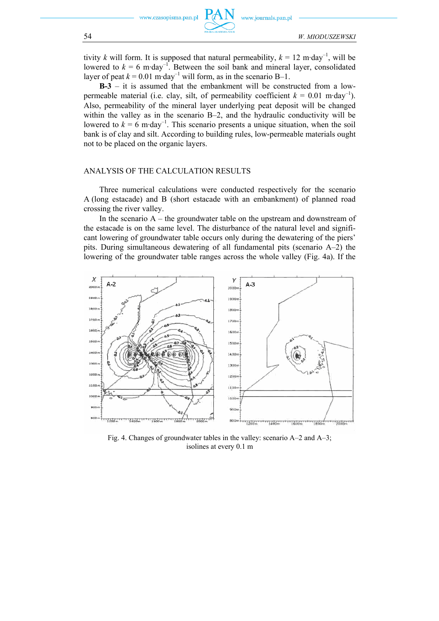

tivity *k* will form. It is supposed that natural permeability,  $k = 12$  m·day<sup>-1</sup>, will be lowered to  $k = 6$  m·day<sup>-1</sup>. Between the soil bank and mineral layer, consolidated layer of peat  $k = 0.01$  m·day<sup>-1</sup> will form, as in the scenario B-1.

**B-3** – it is assumed that the embankment will be constructed from a lowpermeable material (i.e. clay, silt, of permeability coefficient  $k = 0.01$  m·day<sup>-1</sup>). Also, permeability of the mineral layer underlying peat deposit will be changed within the valley as in the scenario B–2, and the hydraulic conductivity will be lowered to  $k = 6$  m·day<sup>-1</sup>. This scenario presents a unique situation, when the soil bank is of clay and silt. According to building rules, low-permeable materials ought not to be placed on the organic layers.

#### ANALYSIS OF THE CALCULATION RESULTS

Three numerical calculations were conducted respectively for the scenario A (long estacade) and B (short estacade with an embankment) of planned road crossing the river valley.

In the scenario  $A$  – the groundwater table on the upstream and downstream of the estacade is on the same level. The disturbance of the natural level and significant lowering of groundwater table occurs only during the dewatering of the piers' pits. During simultaneous dewatering of all fundamental pits (scenario A–2) the lowering of the groundwater table ranges across the whole valley (Fig. 4a). If the



Fig. 4. Changes of groundwater tables in the valley: scenario A–2 and A–3; isolines at every 0.1 m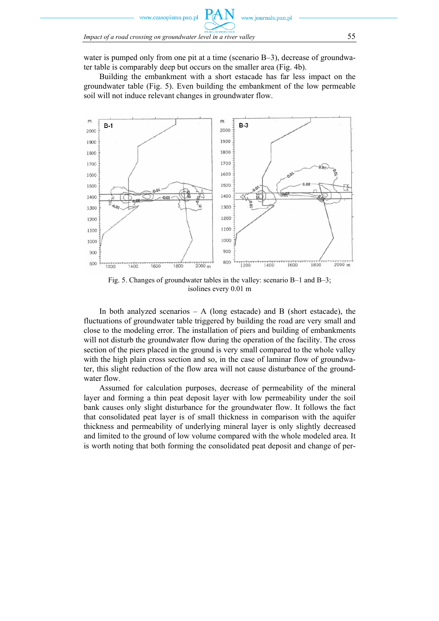

water is pumped only from one pit at a time (scenario B–3), decrease of groundwater table is comparably deep but occurs on the smaller area (Fig. 4b).

Building the embankment with a short estacade has far less impact on the groundwater table (Fig. 5). Even building the embankment of the low permeable soil will not induce relevant changes in groundwater flow.



Fig. 5. Changes of groundwater tables in the valley: scenario B–1 and B–3; isolines every 0.01 m

In both analyzed scenarios  $- A$  (long estacade) and B (short estacade), the fluctuations of groundwater table triggered by building the road are very small and close to the modeling error. The installation of piers and building of embankments will not disturb the groundwater flow during the operation of the facility. The cross section of the piers placed in the ground is very small compared to the whole valley with the high plain cross section and so, in the case of laminar flow of groundwater, this slight reduction of the flow area will not cause disturbance of the groundwater flow.

Assumed for calculation purposes, decrease of permeability of the mineral layer and forming a thin peat deposit layer with low permeability under the soil bank causes only slight disturbance for the groundwater flow. It follows the fact that consolidated peat layer is of small thickness in comparison with the aquifer thickness and permeability of underlying mineral layer is only slightly decreased and limited to the ground of low volume compared with the whole modeled area. It is worth noting that both forming the consolidated peat deposit and change of per-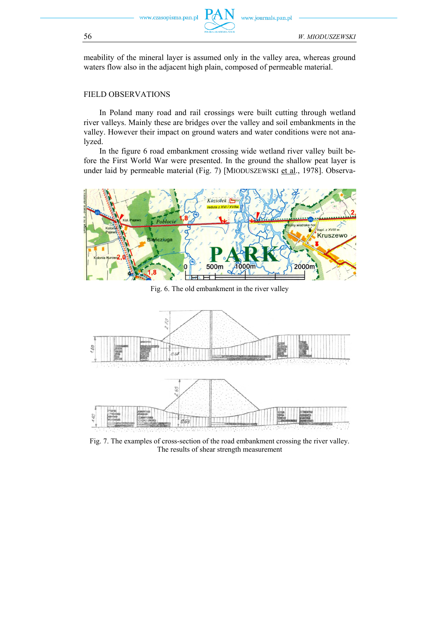

www.journals.pan.pl

meability of the mineral layer is assumed only in the valley area, whereas ground waters flow also in the adjacent high plain, composed of permeable material.

#### FIELD OBSERVATIONS

In Poland many road and rail crossings were built cutting through wetland river valleys. Mainly these are bridges over the valley and soil embankments in the valley. However their impact on ground waters and water conditions were not analyzed.

In the figure 6 road embankment crossing wide wetland river valley built before the First World War were presented. In the ground the shallow peat layer is under laid by permeable material (Fig. 7) [MIODUSZEWSKI et al., 1978]. Observa-



Fig. 6. The old embankment in the river valley



Fig. 7. The examples of cross-section of the road embankment crossing the river valley. The results of shear strength measurement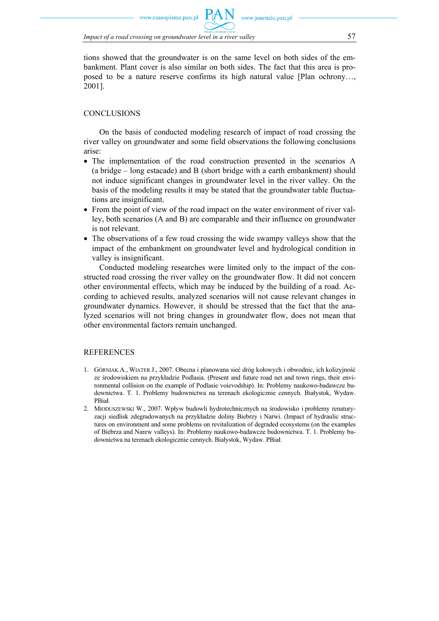tions showed that the groundwater is on the same level on both sides of the embankment. Plant cover is also similar on both sides. The fact that this area is proposed to be a nature reserve confirms its high natural value [Plan ochrony…, 2001].

www.journals.pan.pl

# **CONCLUSIONS**

On the basis of conducted modeling research of impact of road crossing the river valley on groundwater and some field observations the following conclusions arise:

- The implementation of the road construction presented in the scenarios A (a bridge – long estacade) and B (short bridge with a earth embankment) should not induce significant changes in groundwater level in the river valley. On the basis of the modeling results it may be stated that the groundwater table fluctuations are insignificant.
- From the point of view of the road impact on the water environment of river valley, both scenarios (A and B) are comparable and their influence on groundwater is not relevant.
- The observations of a few road crossing the wide swampy valleys show that the impact of the embankment on groundwater level and hydrological condition in valley is insignificant.

Conducted modeling researches were limited only to the impact of the constructed road crossing the river valley on the groundwater flow. It did not concern other environmental effects, which may be induced by the building of a road. According to achieved results, analyzed scenarios will not cause relevant changes in groundwater dynamics. However, it should be stressed that the fact that the analyzed scenarios will not bring changes in groundwater flow, does not mean that other environmental factors remain unchanged.

# **REFERENCES**

- 1. GÓRNIAK A., WIATER J., 2007. Obecna i planowana sieć dróg kołowych i obwodnic, ich kolizyjność ze środowiskiem na przykładzie Podlasia. (Present and future road net and town rings, their environmental collision on the example of Podlasie voievodship). In: Problemy naukowo-badawcze budownictwa. T. 1. Problemy budownictwa na terenach ekologicznie cennych. Białystok, Wydaw. PBiał.
- 2. MIODUSZEWSKI W., 2007. Wpływ budowli hydrotechnicznych na środowisko i problemy renaturyzacji siedlisk zdegradowanych na przykładzie doliny Biebrzy i Narwi. (Impact of hydraulic structures on environment and some problems on revitalization of degraded ecosystems (on the examples of Biebrza and Narew valleys). In: Problemy naukowo-badawcze budownictwa. T. 1. Problemy budownictwa na terenach ekologicznie cennych. Białystok, Wydaw. PBiał.